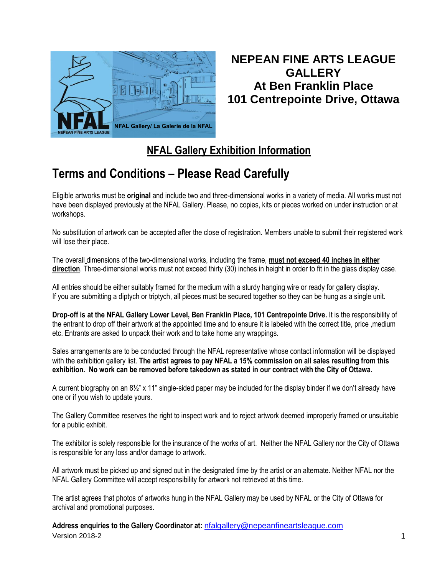

## **NEPEAN FINE ARTS LEAGUE GALLERY At Ben Franklin Place 101 Centrepointe Drive, Ottawa**

## **NFAL Gallery Exhibition Information**

## **Terms and Conditions – Please Read Carefully**

Eligible artworks must be **original** and include two and three-dimensional works in a variety of media. All works must not have been displayed previously at the NFAL Gallery. Please, no copies, kits or pieces worked on under instruction or at workshops.

No substitution of artwork can be accepted after the close of registration. Members unable to submit their registered work will lose their place.

The overall dimensions of the two-dimensional works, including the frame, **must not exceed 40 inches in either direction**. Three-dimensional works must not exceed thirty (30) inches in height in order to fit in the glass display case.

All entries should be either suitably framed for the medium with a sturdy hanging wire or ready for gallery display. If you are submitting a diptych or triptych, all pieces must be secured together so they can be hung as a single unit.

**Drop-off is at the NFAL Gallery Lower Level, Ben Franklin Place, 101 Centrepointe Drive.** It is the responsibility of the entrant to drop off their artwork at the appointed time and to ensure it is labeled with the correct title, price ,medium etc. Entrants are asked to unpack their work and to take home any wrappings.

Sales arrangements are to be conducted through the NFAL representative whose contact information will be displayed with the exhibition gallery list. **The artist agrees to pay NFAL a 15% commission on all sales resulting from this exhibition. No work can be removed before takedown as stated in our contract with the City of Ottawa.**

A current biography on an 8½" x 11" single-sided paper may be included for the display binder if we don't already have one or if you wish to update yours.

The Gallery Committee reserves the right to inspect work and to reject artwork deemed improperly framed or unsuitable for a public exhibit.

The exhibitor is solely responsible for the insurance of the works of art. Neither the NFAL Gallery nor the City of Ottawa is responsible for any loss and/or damage to artwork.

All artwork must be picked up and signed out in the designated time by the artist or an alternate. Neither NFAL nor the NFAL Gallery Committee will accept responsibility for artwork not retrieved at this time.

The artist agrees that photos of artworks hung in the NFAL Gallery may be used by NFAL or the City of Ottawa for archival and promotional purposes.

version 2018-2 and 2018-2 and 2018-2 and 2018-2 and 2018-2 and 2018-2 and 2018-2 and 2018-2 and 2018-2 and 201 **Address enquiries to the Gallery Coordinator at:** [nfalgallery@nepeanfineartsleague.com](mailto:nfalgallery@nepeanfineartsleague.com)